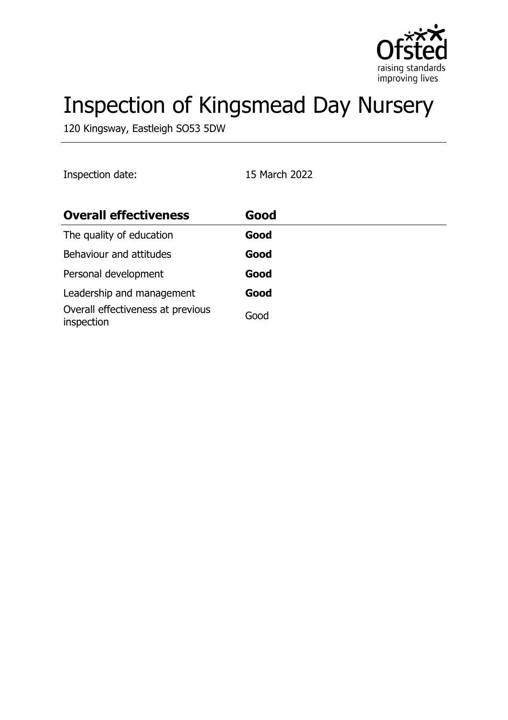

# Inspection of Kingsmead Day Nursery

120 Kingsway, Eastleigh SO53 5DW

| Inspection date:                                | 15 March 2022 |
|-------------------------------------------------|---------------|
| <b>Overall effectiveness</b>                    | Good          |
| The quality of education                        | Good          |
| Behaviour and attitudes                         | Good          |
| Personal development                            | Good          |
| Leadership and management                       | Good          |
| Overall effectiveness at previous<br>inspection | Good          |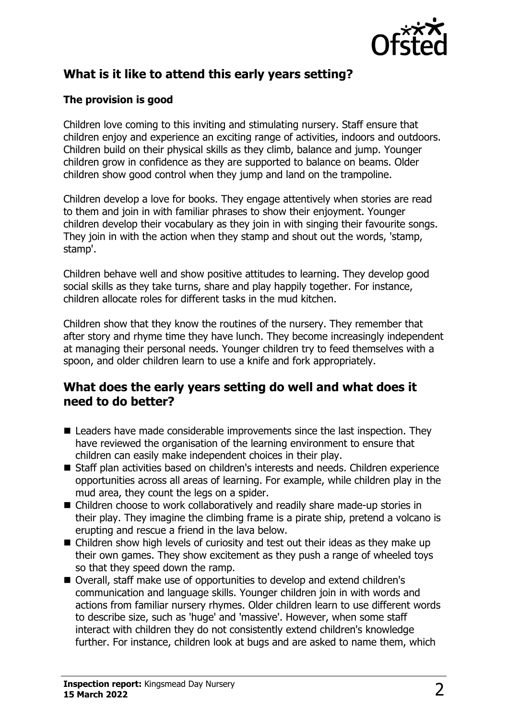

# **What is it like to attend this early years setting?**

#### **The provision is good**

Children love coming to this inviting and stimulating nursery. Staff ensure that children enjoy and experience an exciting range of activities, indoors and outdoors. Children build on their physical skills as they climb, balance and jump. Younger children grow in confidence as they are supported to balance on beams. Older children show good control when they jump and land on the trampoline.

Children develop a love for books. They engage attentively when stories are read to them and join in with familiar phrases to show their enjoyment. Younger children develop their vocabulary as they join in with singing their favourite songs. They join in with the action when they stamp and shout out the words, 'stamp, stamp'.

Children behave well and show positive attitudes to learning. They develop good social skills as they take turns, share and play happily together. For instance, children allocate roles for different tasks in the mud kitchen.

Children show that they know the routines of the nursery. They remember that after story and rhyme time they have lunch. They become increasingly independent at managing their personal needs. Younger children try to feed themselves with a spoon, and older children learn to use a knife and fork appropriately.

## **What does the early years setting do well and what does it need to do better?**

- $\blacksquare$  Leaders have made considerable improvements since the last inspection. They have reviewed the organisation of the learning environment to ensure that children can easily make independent choices in their play.
- Staff plan activities based on children's interests and needs. Children experience opportunities across all areas of learning. For example, while children play in the mud area, they count the legs on a spider.
- $\blacksquare$  Children choose to work collaboratively and readily share made-up stories in their play. They imagine the climbing frame is a pirate ship, pretend a volcano is erupting and rescue a friend in the lava below.
- $\blacksquare$  Children show high levels of curiosity and test out their ideas as they make up their own games. They show excitement as they push a range of wheeled toys so that they speed down the ramp.
- Overall, staff make use of opportunities to develop and extend children's communication and language skills. Younger children join in with words and actions from familiar nursery rhymes. Older children learn to use different words to describe size, such as 'huge' and 'massive'. However, when some staff interact with children they do not consistently extend children's knowledge further. For instance, children look at bugs and are asked to name them, which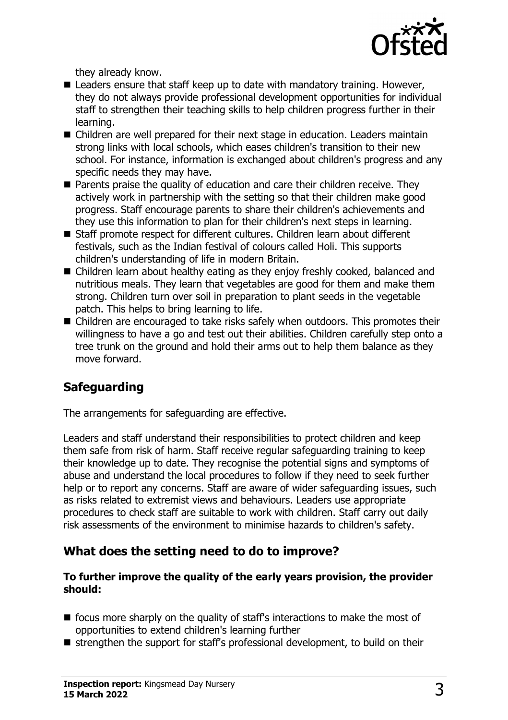

they already know.

- $\blacksquare$  Leaders ensure that staff keep up to date with mandatory training. However, they do not always provide professional development opportunities for individual staff to strengthen their teaching skills to help children progress further in their learning.
- Children are well prepared for their next stage in education. Leaders maintain strong links with local schools, which eases children's transition to their new school. For instance, information is exchanged about children's progress and any specific needs they may have.
- $\blacksquare$  Parents praise the quality of education and care their children receive. They actively work in partnership with the setting so that their children make good progress. Staff encourage parents to share their children's achievements and they use this information to plan for their children's next steps in learning.
- Staff promote respect for different cultures. Children learn about different festivals, such as the Indian festival of colours called Holi. This supports children's understanding of life in modern Britain.
- $\blacksquare$  Children learn about healthy eating as they enjoy freshly cooked, balanced and nutritious meals. They learn that vegetables are good for them and make them strong. Children turn over soil in preparation to plant seeds in the vegetable patch. This helps to bring learning to life.
- $\blacksquare$  Children are encouraged to take risks safely when outdoors. This promotes their willingness to have a go and test out their abilities. Children carefully step onto a tree trunk on the ground and hold their arms out to help them balance as they move forward.

# **Safeguarding**

The arrangements for safeguarding are effective.

Leaders and staff understand their responsibilities to protect children and keep them safe from risk of harm. Staff receive regular safeguarding training to keep their knowledge up to date. They recognise the potential signs and symptoms of abuse and understand the local procedures to follow if they need to seek further help or to report any concerns. Staff are aware of wider safeguarding issues, such as risks related to extremist views and behaviours. Leaders use appropriate procedures to check staff are suitable to work with children. Staff carry out daily risk assessments of the environment to minimise hazards to children's safety.

# **What does the setting need to do to improve?**

#### **To further improve the quality of the early years provision, the provider should:**

- $\blacksquare$  focus more sharply on the quality of staff's interactions to make the most of opportunities to extend children's learning further
- $\blacksquare$  strengthen the support for staff's professional development, to build on their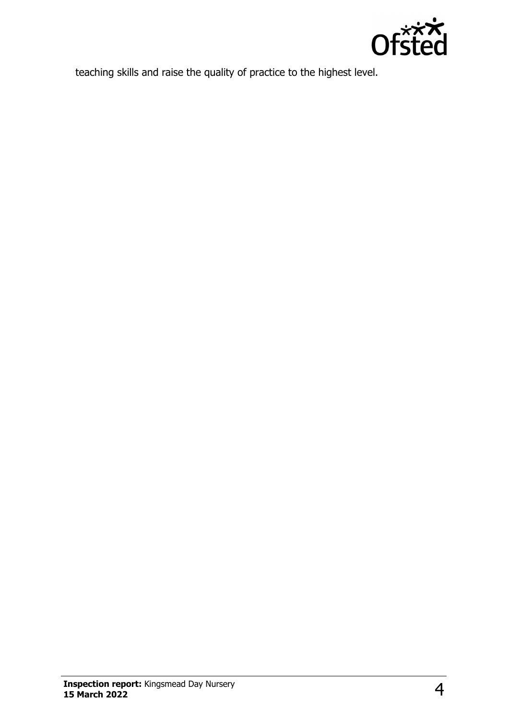

teaching skills and raise the quality of practice to the highest level.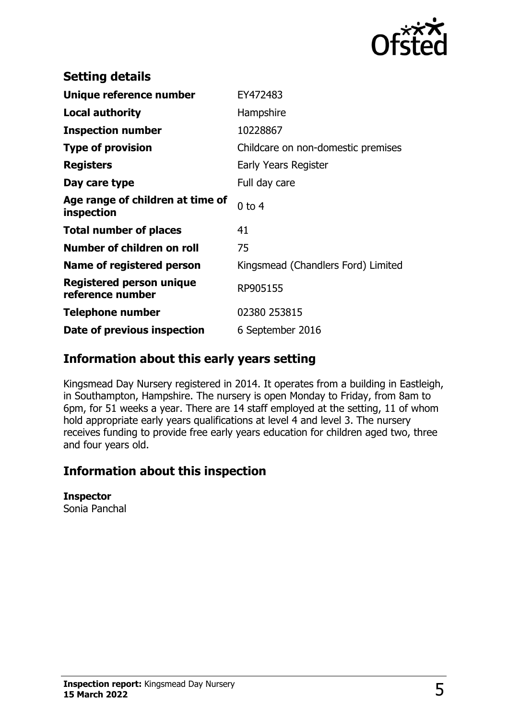

| <b>Setting details</b>                              |                                    |
|-----------------------------------------------------|------------------------------------|
| Unique reference number                             | EY472483                           |
| <b>Local authority</b>                              | Hampshire                          |
| <b>Inspection number</b>                            | 10228867                           |
| <b>Type of provision</b>                            | Childcare on non-domestic premises |
| <b>Registers</b>                                    | Early Years Register               |
| Day care type                                       | Full day care                      |
| Age range of children at time of<br>inspection      | $0$ to $4$                         |
| <b>Total number of places</b>                       | 41                                 |
| Number of children on roll                          | 75                                 |
| Name of registered person                           | Kingsmead (Chandlers Ford) Limited |
| <b>Registered person unique</b><br>reference number | RP905155                           |
| <b>Telephone number</b>                             | 02380 253815                       |
| Date of previous inspection                         | 6 September 2016                   |

### **Information about this early years setting**

Kingsmead Day Nursery registered in 2014. It operates from a building in Eastleigh, in Southampton, Hampshire. The nursery is open Monday to Friday, from 8am to 6pm, for 51 weeks a year. There are 14 staff employed at the setting, 11 of whom hold appropriate early years qualifications at level 4 and level 3. The nursery receives funding to provide free early years education for children aged two, three and four years old.

## **Information about this inspection**

#### **Inspector**

Sonia Panchal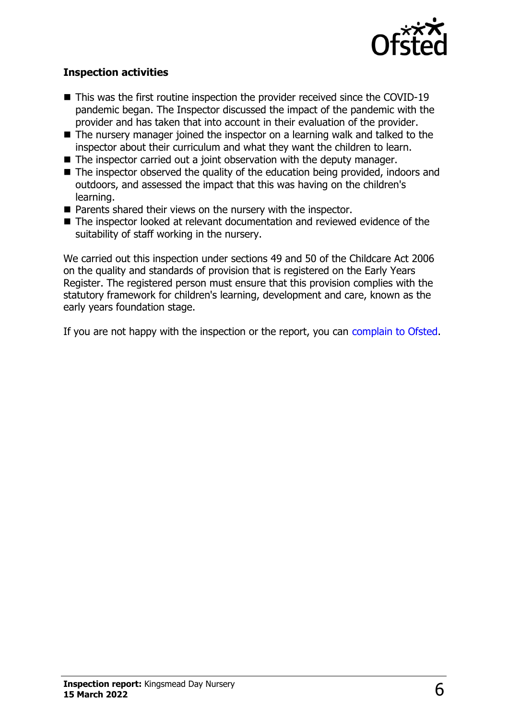

#### **Inspection activities**

- $\blacksquare$  This was the first routine inspection the provider received since the COVID-19 pandemic began. The Inspector discussed the impact of the pandemic with the provider and has taken that into account in their evaluation of the provider.
- $\blacksquare$  The nursery manager joined the inspector on a learning walk and talked to the inspector about their curriculum and what they want the children to learn.
- $\blacksquare$  The inspector carried out a joint observation with the deputy manager.
- $\blacksquare$  The inspector observed the quality of the education being provided, indoors and outdoors, and assessed the impact that this was having on the children's learning.
- $\blacksquare$  Parents shared their views on the nursery with the inspector.
- The inspector looked at relevant documentation and reviewed evidence of the suitability of staff working in the nursery.

We carried out this inspection under sections 49 and 50 of the Childcare Act 2006 on the quality and standards of provision that is registered on the Early Years Register. The registered person must ensure that this provision complies with the statutory framework for children's learning, development and care, known as the early years foundation stage.

If you are not happy with the inspection or the report, you can [complain to Ofsted](http://www.gov.uk/complain-ofsted-report).